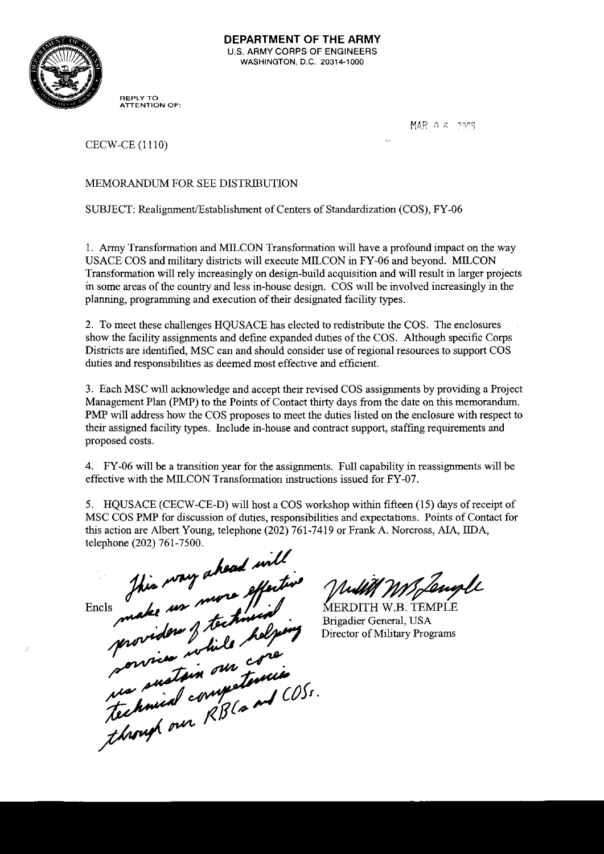

**REPLY TO ATTENTION OF:** 

MAR A 6 2003

CECW-CE (1110)

## MEMORANDUM FOR SEE DISTRIBUTION

SUBJECT: **Realignment/Establishment** of Centers of Standardization (COS), FY-06

1. Army Transformation and MILCON Transformation will have a profound impact on the way USACE COS and military districts will execute MILCON in FY-06 and beyond. MILCON Transformation will rely increasingly on design-build acquisition and will result in larger projects in some areas of the country and less in-house design. COS will be involved increasingly in the planning, programming and execution of their designated facility types.

2. To meet these challenges HQUSACE has elected to redistribute the COS. The enclosures show the facility assignments and define expanded duties of the COS. Although specific Corps Districts are identified, MSC can and should consider use of regional resources to support COS duties and responsibilities as deemed most effective and efficient.

**3.** Each MSC will acknowledge and accept their revised COS assignments by providing a Project Management Plan (PMP) to the Points of Contact thirty days from the date on this memorandum. PMP will address how the COS proposes to meet the duties listed on the enclosure with respect to their assigned facility types. Include in-house and contract support, staffing requirements and proposed costs.

4. FY-06 will be a transition year for the assignments. Full capability in reassignments will be effective with the MILCON Transformation instructions issued for FY-07.

*5.* HQUSACE (CECW-CE-D) will host a COS workshop withn fifteen (15) days of receipt of MSC COS PMP for discussion of duties, responsibilities and expectations. Points of Contact for this action are Albert Young, telephone (202) 761-741 9 or Frank A. Norcross, **AIA,** IDA,

Encis make us more effective<br>Encis make us more effective<br>provident & technical<br>provident while helpers<br>convice while core<br>though our RB (and COSS.<br>though our RB (and COSS.

MJengle

MERDITH W.B. TEMPLE Brigadier General, USA Director of Military Programs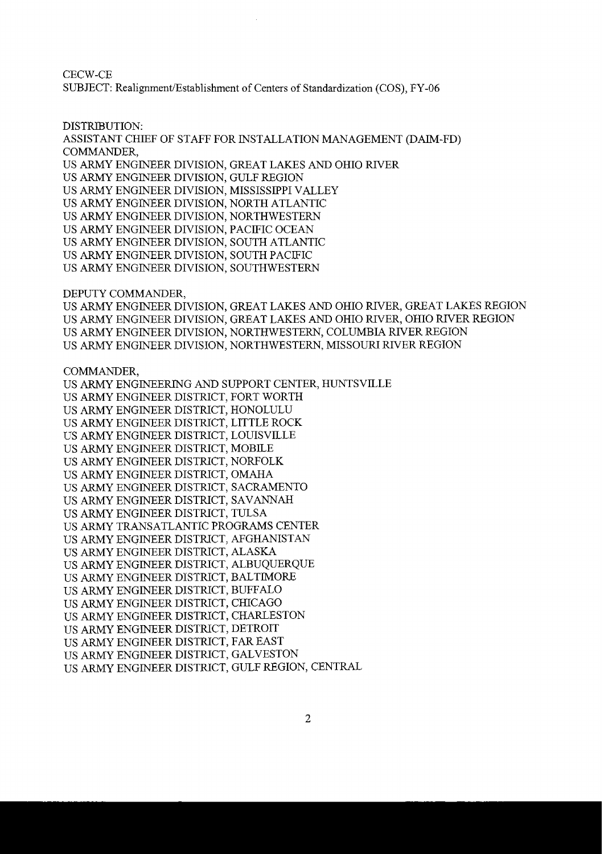CECW-CE SUBJECT: **Realignment/Establishment** of Centers of Standardization (COS), FY-06

DISTRIBUTION:

ASSISTANT CHIEF OF STAFF FOR INSTALLATION MANAGEMENT (DAIM-FD) COMMANDER, US ARMY ENGINEER DIVISION, GREAT LAKES AND OHIO RIVER US ARMY ENGINEER DIVISION, GULF REGION US ARMY ENGINEER DIVISION, MISSISSIPPI VALLEY US ARMY ENGINEER DIVISION, NORTH ATLANTIC US ARMY ENGINEER DIVISION, NORTHWESTERN US ARMY ENGINEER DIVISION, PACIFIC OCEAN US ARMY ENGINEER DIVISION, SOUTH ATLANTIC US ARMY ENGINEER DIVISION, SOUTH PACIFIC US ARMY ENGINEER DIVISION, SOUTHWESTERN

DEPUTY COMMANDER,

US ARMY ENGINEER DIVISION, GREAT LAKES AND OHIO RIVER, GREAT LAKES REGION US ARMY ENGINEER DIVISION, GREAT LAKES AND OHIO RIVER, OHIO RIVER REGION US ARMY ENGINEER DIVISION, NORTHWESTERN, COLUMBIA RIVER REGION US *ARMY* ENGINEER DIVISION, NORTHWESTERN, MISSOURI RIVER REGION

COMMANDER,

US ARMY ENGINEERING AND SUPPORT CENTER, HUNTSVILLE US ARMY ENGINEER DISTRICT, FORT WORTH US ARMY ENGINEER DISTRICT, HONOLULU US ARMY ENGINEER DISTRICT, LITTLE ROCK US ARMY ENGINEER DISTRICT, LOUISVILLE US ARMY ENGINEER DISTRICT, MOBILE US ARMY ENGINEER DISTRICT, NORFOLK US ARMY ENGINEER DISTRICT, OMAHA US ARMY ENGINEER DISTRICT, SACRAMENTO US ARMY ENGINEER DISTRICT, SAVANNAH US ARMY ENGINEER DISTRICT, TULSA US ARMY TRANSATLANTIC PROGRAMS CENTER US ARMY ENGINEER DISTRICT, AFGHANISTAN US ARMY ENGINEER DISTRICT, ALASKA US ARMY ENGINEER DISTRICT, ALBUQUERQUE US ARMY ENGINEER DISTRICT, BALTIMORE US ARMY ENGINEER DISTRICT, BUFFALO US ARMY ENGINEER DISTRICT, CHICAGO US ARMY ENGINEER DISTRICT, CHARLESTON US ARMY ENGINEER DISTRICT, DETROIT US ARMY ENGINEER DISTRICT, FAR EAST US ARMY ENGINEER DISTRICT, GALVESTON US ARMY ENGINEER DISTRICT, GULF REGION, CENTRAL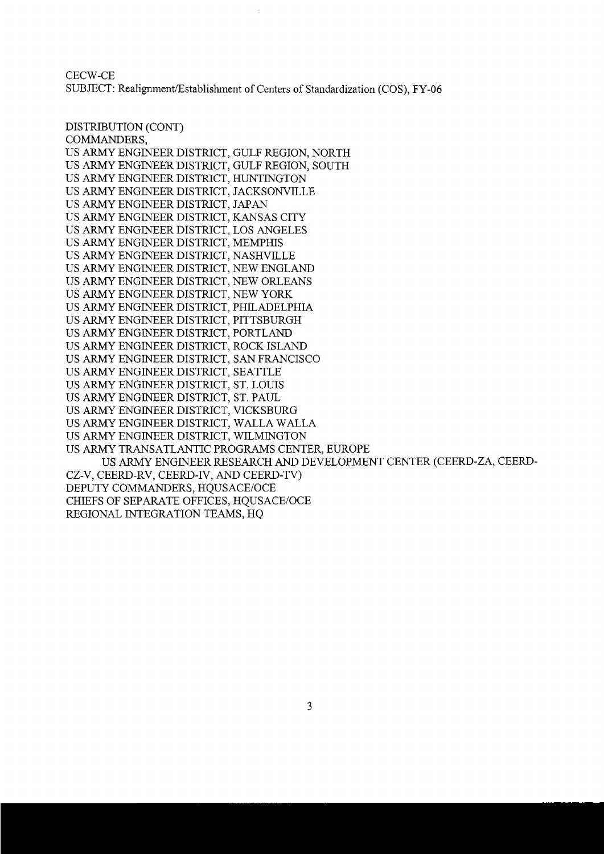CECW-CE SUBJECT: Realignment/Establishment of Centers of Standardization (COS), FY-06

DISTRIBUTION (CONT) COMMANDERS, US ARMY ENGINEER DISTRICT, GULF REGION, NORTH US ARMY ENGINEER DISTRICT, GULF REGION, SOUTH US ARMY ENGINEER DISTRICT, HUNTINGTON US ARMY ENGINEER DISTRICT, JACKSONVILLE US ARMY ENGINEER DISTRICT, JAPAN US ARMY ENGINEER DISTRICT, KANSAS CITY US ARMY ENGINEER DISTRICT, LOS ANGELES US ARMY ENGINEER DISTRICT, MEMPHIS US ARMY ENGINEER DISTRICT, NASHVILLE US ARMY ENGINEER DISTRICT, NEW ENGLAND US ARMY ENGINEER DISTRICT, NEW ORLEANS US ARMY ENGINEER DISTRICT, NEW YORK US ARMY ENGINEER DISTRICT, PHILADELPHIA US ARMY ENGINEER DISTRICT, PITTSBURGH US ARMY ENGINEER DISTRICT, PORTLAND US ARMY ENGINEER DISTRICT, ROCK ISLAND US ARMY ENGINEER DISTRICT, SAN FRANCISCO US ARMY ENGINEER DISTRICT, SEATTLE US ARMY ENGINEER DISTRICT, ST. LOUIS US ARMY ENGINEER DISTRICT, ST. PAUL US ARMY ENGINEER DISTRICT, VICKSBURG US ARMY ENGINEER DISTRICT, WALLA WALLA US ARMY ENGINEER DISTRICT, WILMINGTON US ARMY TRANSATLANTIC PROGRAMS CENTER, EUROPE US ARMY ENGINEER RESEARCH AND DEVELOPMENT CENTER (CEERD-ZA, CEERD-CZ-V, CEERD-RV, CEERD-IV, AND CEERD-TV) DEPUTY COMMANDERS, HQUSACE/OCE CHIEFS OF SEPARATE OFFICES, HQUSACE/OCE REGIONAL INTEGRATION TEAMS, HQ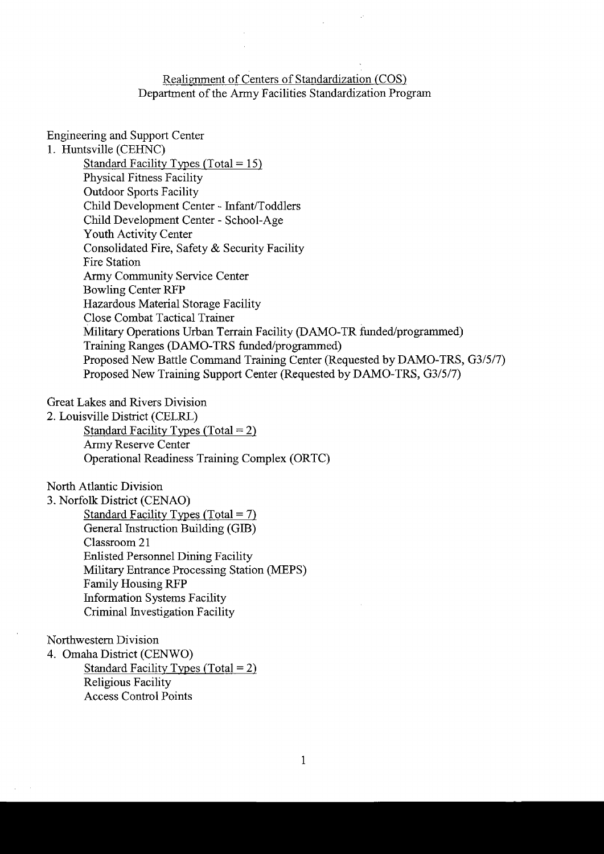Realignment of Centers of Standardization (COS) Department of the Army Facilities Standardization Program

Engineering and Support Center 1. Huntsville (CEHNC) Standard Facility Types (Total =  $15$ ) Physical Fitness Facility Outdoor Sports Facility Child Development Center - Infant/Toddlers Child Development Center - School-Age Youth Activity Center Consolidated Fire, Safety & Security Facility Fire Station Army Community Service Center Bowling Center RFP Hazardous Material Storage Facility Close Combat Tactical Trainer Military Operations Urban Terrain Facility (DAMO-TR funded/programmed) Training Ranges (DAMO-TRS funded/programmed) Proposed New Battle Command Training Center (Requested by DAMO-TRS, G3/5/7) Proposed New Training Support Center (Requested by DAMO-TRS, G3/5/7)

Great Lakes and Rivers Division

2. Louisville District (CELRL) Standard Facility Types (Total =  $2$ ) Army Reserve Center Operational Readiness Training Complex (ORTC)

North Atlantic Division

**3.** Norfolk District (CENAO) Standard Facility Types (Total =  $7$ ) General Instruction Building (GIB) Classroom 21 Enlisted Personnel Dining Facility Military Entrance Processing Station (MEPS) Family Housing RFP Information Systems Facility Criminal Investigation Facility

Northwestern Division

4. Omaha District (CENWO) Standard Facility Types (Total = 2) Religious Facility Access Control Points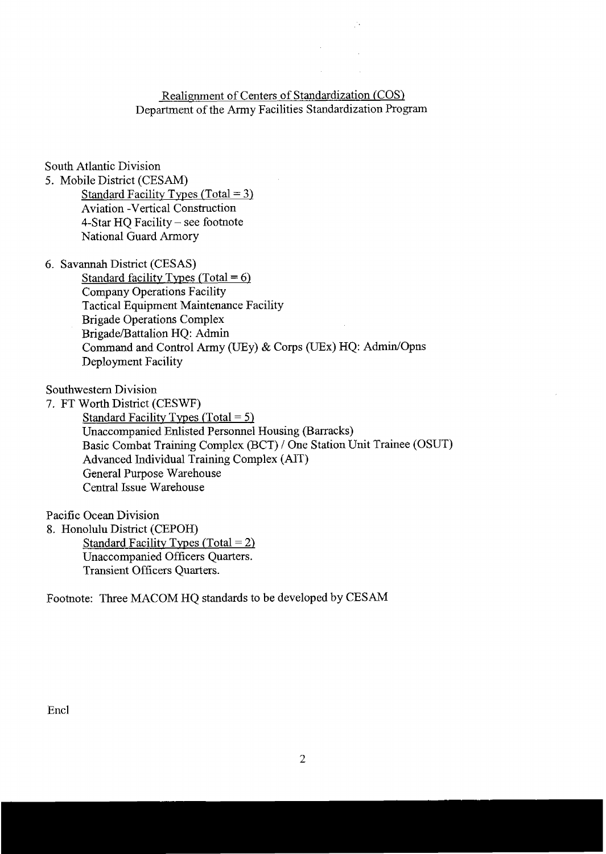## Realignment of Centers of Standardization (COS) Department of the Army Facilities Standardization Program

South Atlantic Division

5. Mobile District (CESAM)

Standard Facility Types (Total = **3)**  Aviation -Vertical Construction 4-Star HQ Facility - see footnote National Guard Armory

6. Savannah District (CESAS)

Standard facilitv Tvpes (Total = *6)*  Company Operations Facility Tactical Equipment Maintenance Facility Brigade Operations Complex Brigade/Battalion HQ: Admin Command and Control Army (UEy) & Corps (UEx) HQ: Admin/Opns Deployment Facility

southwestern Division

7. FT Worth District (CESWF) Standard Facility Types (Total = 5) Unaccompanied Enlisted Personnel Housing (Barracks) Basic Combat Training Complex (BCT) / One Station Unit Trainee (OSUT) Advanced Individual Training Complex (AIT) General Purpose Warehouse Central Issue Warehouse

Pacific Ocean Division

8. Honolulu District (CEPOH) Standard Facility Types (Total =  $2$ )

> Unaccompanied Officers Quarters. Transient Officers Quarters.

Footnote: Three MACOM HQ standards to be developed by CESAM